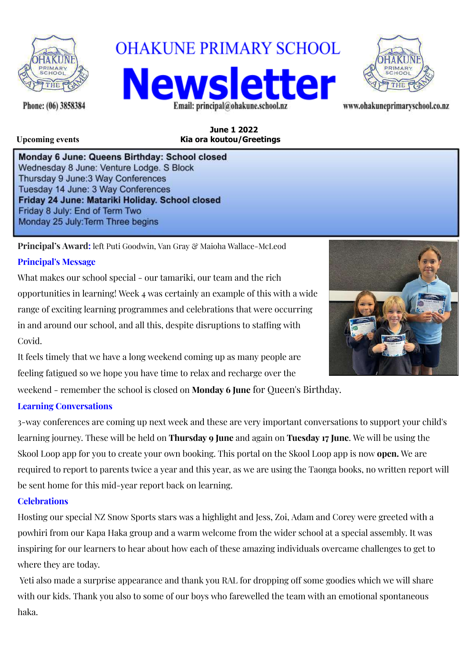

**OHAKUNE PRIMARY SCHOOL Vews** 



www.ohakuneprimaryschool.co.nz

Phone: (06) 3858384

**June 1 2022 Upcoming events Kia ora koutou/Greetings**

Email: principal@ohakune.school.nz

Monday 6 June: Queens Birthday: School closed Wednesday 8 June: Venture Lodge. S Block Thursday 9 June: 3 Way Conferences Tuesday 14 June: 3 Way Conferences Friday 24 June: Matariki Holiday. School closed Friday 8 July: End of Term Two Monday 25 July: Term Three begins

**Principal's Award:** left Puti Goodwin, Van Gray & Maioha Wallace-McLeod

# **Principal's Message**

What makes our school special - our tamariki, our team and the rich opportunities in learning! Week 4 was certainly an example of this with a wide range of exciting learning programmes and celebrations that were occurring in and around our school, and all this, despite disruptions to staffing with Covid.



It feels timely that we have a long weekend coming up as many people are feeling fatigued so we hope you have time to relax and recharge over the

weekend - remember the school is closed on **Monday 6 June** for Queen's Birthday.

## **Learning Conversations**

3-way conferences are coming up next week and these are very important conversations to support your child's learning journey. These will be held on **Thursday 9 June** and again on **Tuesday 17 June**. We will be using the Skool Loop app for you to create your own booking. This portal on the Skool Loop app is now **open.** We are required to report to parents twice a year and this year, as we are using the Taonga books, no written report will be sent home for this mid-year report back on learning.

## **Celebrations**

Hosting our special NZ Snow Sports stars was a highlight and Jess, Zoi, Adam and Corey were greeted with a powhiri from our Kapa Haka group and a warm welcome from the wider school at a special assembly. It was inspiring for our learners to hear about how each of these amazing individuals overcame challenges to get to where they are today.

Yeti also made a surprise appearance and thank you RAL for dropping off some goodies which we will share with our kids. Thank you also to some of our boys who farewelled the team with an emotional spontaneous haka.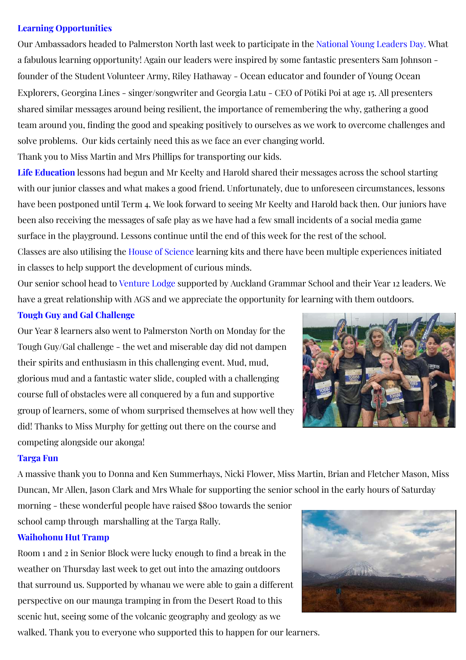### **Learning Opportunities**

Our Ambassadors headed to Palmerston North last week to participate in the National Young Leaders Day. What a fabulous learning opportunity! Again our leaders were inspired by some fantastic presenters Sam Johnson founder of the Student Volunteer Army, Riley Hathaway - Ocean educator and founder of Young Ocean Explorers, Georgina Lines - singer/songwriter and Georgia Latu - CEO of Pōtiki Poi at age 15. All presenters shared similar messages around being resilient, the importance of remembering the why, gathering a good team around you, finding the good and speaking positively to ourselves as we work to overcome challenges and solve problems. Our kids certainly need this as we face an ever changing world.

Thank you to Miss Martin and Mrs Phillips for transporting our kids.

**Life Education** lessons had begun and Mr Keelty and Harold shared their messages across the school starting with our junior classes and what makes a good friend. Unfortunately, due to unforeseen circumstances, lessons have been postponed until Term 4. We look forward to seeing Mr Keelty and Harold back then. Our juniors have been also receiving the messages of safe play as we have had a few small incidents of a social media game surface in the playground. Lessons continue until the end of this week for the rest of the school. Classes are also utilising the House of Science learning kits and there have been multiple experiences initiated

in classes to help support the development of curious minds.

Our senior school head to Venture Lodge supported by Auckland Grammar School and their Year 12 leaders. We have a great relationship with AGS and we appreciate the opportunity for learning with them outdoors.

#### **Tough Guy and Gal Challenge**

Our Year 8 learners also went to Palmerston North on Monday for the Tough Guy/Gal challenge - the wet and miserable day did not dampen their spirits and enthusiasm in this challenging event. Mud, mud, glorious mud and a fantastic water slide, coupled with a challenging course full of obstacles were all conquered by a fun and supportive group of learners, some of whom surprised themselves at how well they did! Thanks to Miss Murphy for getting out there on the course and competing alongside our akonga!



#### **Targa Fun**

A massive thank you to Donna and Ken Summerhays, Nicki Flower, Miss Martin, Brian and Fletcher Mason, Miss Duncan, Mr Allen, Jason Clark and Mrs Whale for supporting the senior school in the early hours of Saturday

morning - these wonderful people have raised \$800 towards the senior school camp through marshalling at the Targa Rally.

#### **Waihohonu Hut Tramp**

Room 1 and 2 in Senior Block were lucky enough to find a break in the weather on Thursday last week to get out into the amazing outdoors that surround us. Supported by whanau we were able to gain a different perspective on our maunga tramping in from the Desert Road to this scenic hut, seeing some of the volcanic geography and geology as we

walked. Thank you to everyone who supported this to happen for our learners.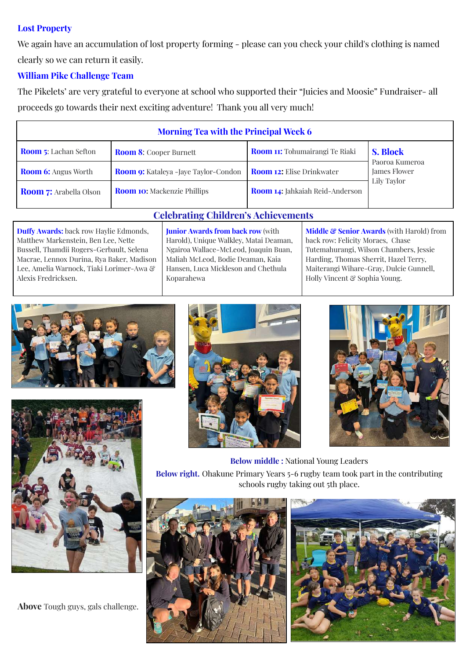### **Lost Property**

We again have an accumulation of lost property forming - please can you check your child's clothing is named clearly so we can return it easily.

## **William Pike Challenge Team**

The Pikelets' are very grateful to everyone at school who supported their "Juicies and Moosie" Fundraiser- all proceeds go towards their next exciting adventure! Thank you all very much!

| <b>Morning Tea with the Principal Week 6</b> |                                              |                                        |                                                                  |
|----------------------------------------------|----------------------------------------------|----------------------------------------|------------------------------------------------------------------|
| <b>Room 5:</b> Lachan Sefton                 | <b>Room 8:</b> Cooper Burnett                | <b>Room 11:</b> Tohumairangi Te Riaki  | <b>S. Block</b><br>Paoroa Kumeroa<br>James Flower<br>Lily Taylor |
| <b>Room 6:</b> Angus Worth                   | <b>Room 9:</b> Kataleya - Jaye Taylor-Condon | <b>Room 12:</b> Elise Drinkwater       |                                                                  |
| <b>Room 7:</b> Arabella Olson                | <b>Room 10:</b> Mackenzie Phillips           | <b>Room 14:</b> Jahkaiah Reid-Anderson |                                                                  |

#### **Duffy Awards:** back row Haylie Edmonds, Matthew Markenstein, Ben Lee, Nette Bussell, Thamdii Rogers-Gerbault, Selena Macrae, Lennox Durina, Rya Baker, Madison Lee, Amelia Warnock, Tiaki Lorimer-Awa & Alexis Fredricksen.

**Junior Awards from back row** (with Harold), Unique Walkley, Matai Deaman, Ngairoa Wallace-McLeod, Joaquin Buan, Maliah McLeod, Bodie Deaman, Kaia Hansen, Luca Mickleson and Chethula

Koparahewa

**Celebrating Children's Achievements**

**Middle & Senior Awards** (with Harold) from back row: Felicity Moraes, Chase Tutemahurangi, Wilson Chambers, Jessie Harding, Thomas Sherrit, Hazel Terry, Maiterangi Wihare-Gray, Dulcie Gunnell, Holly Vincent & Sophia Young.





**Above** Tough guys, gals challenge.





**Below middle :** National Young Leaders

**Below right.** Ohakune Primary Years 5-6 rugby team took part in the contributing schools rugby taking out 5th place.